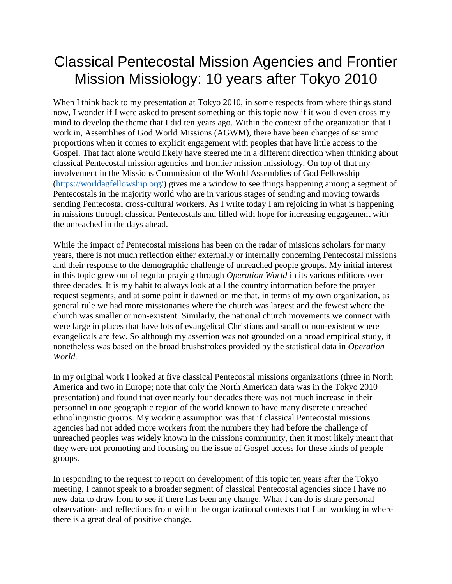# Classical Pentecostal Mission Agencies and Frontier Mission Missiology: 10 years after Tokyo 2010

When I think back to my presentation at Tokyo 2010, in some respects from where things stand now, I wonder if I were asked to present something on this topic now if it would even cross my mind to develop the theme that I did ten years ago. Within the context of the organization that I work in, Assemblies of God World Missions (AGWM), there have been changes of seismic proportions when it comes to explicit engagement with peoples that have little access to the Gospel. That fact alone would likely have steered me in a different direction when thinking about classical Pentecostal mission agencies and frontier mission missiology. On top of that my involvement in the Missions Commission of the World Assemblies of God Fellowship [\(https://worldagfellowship.org/\)](https://worldagfellowship.org/) gives me a window to see things happening among a segment of Pentecostals in the majority world who are in various stages of sending and moving towards sending Pentecostal cross-cultural workers. As I write today I am rejoicing in what is happening in missions through classical Pentecostals and filled with hope for increasing engagement with the unreached in the days ahead.

While the impact of Pentecostal missions has been on the radar of missions scholars for many years, there is not much reflection either externally or internally concerning Pentecostal missions and their response to the demographic challenge of unreached people groups. My initial interest in this topic grew out of regular praying through *Operation World* in its various editions over three decades. It is my habit to always look at all the country information before the prayer request segments, and at some point it dawned on me that, in terms of my own organization, as general rule we had more missionaries where the church was largest and the fewest where the church was smaller or non-existent. Similarly, the national church movements we connect with were large in places that have lots of evangelical Christians and small or non-existent where evangelicals are few. So although my assertion was not grounded on a broad empirical study, it nonetheless was based on the broad brushstrokes provided by the statistical data in *Operation World*.

In my original work I looked at five classical Pentecostal missions organizations (three in North America and two in Europe; note that only the North American data was in the Tokyo 2010 presentation) and found that over nearly four decades there was not much increase in their personnel in one geographic region of the world known to have many discrete unreached ethnolinguistic groups. My working assumption was that if classical Pentecostal missions agencies had not added more workers from the numbers they had before the challenge of unreached peoples was widely known in the missions community, then it most likely meant that they were not promoting and focusing on the issue of Gospel access for these kinds of people groups.

In responding to the request to report on development of this topic ten years after the Tokyo meeting, I cannot speak to a broader segment of classical Pentecostal agencies since I have no new data to draw from to see if there has been any change. What I can do is share personal observations and reflections from within the organizational contexts that I am working in where there is a great deal of positive change.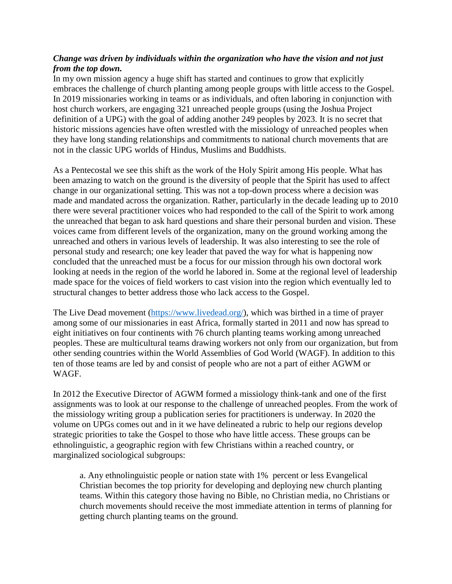### *Change was driven by individuals within the organization who have the vision and not just from the top down.*

In my own mission agency a huge shift has started and continues to grow that explicitly embraces the challenge of church planting among people groups with little access to the Gospel. In 2019 missionaries working in teams or as individuals, and often laboring in conjunction with host church workers, are engaging 321 unreached people groups (using the Joshua Project definition of a UPG) with the goal of adding another 249 peoples by 2023. It is no secret that historic missions agencies have often wrestled with the missiology of unreached peoples when they have long standing relationships and commitments to national church movements that are not in the classic UPG worlds of Hindus, Muslims and Buddhists.

As a Pentecostal we see this shift as the work of the Holy Spirit among His people. What has been amazing to watch on the ground is the diversity of people that the Spirit has used to affect change in our organizational setting. This was not a top-down process where a decision was made and mandated across the organization. Rather, particularly in the decade leading up to 2010 there were several practitioner voices who had responded to the call of the Spirit to work among the unreached that began to ask hard questions and share their personal burden and vision. These voices came from different levels of the organization, many on the ground working among the unreached and others in various levels of leadership. It was also interesting to see the role of personal study and research; one key leader that paved the way for what is happening now concluded that the unreached must be a focus for our mission through his own doctoral work looking at needs in the region of the world he labored in. Some at the regional level of leadership made space for the voices of field workers to cast vision into the region which eventually led to structural changes to better address those who lack access to the Gospel.

The Live Dead movement [\(https://www.livedead.org/\)](https://www.livedead.org/), which was birthed in a time of prayer among some of our missionaries in east Africa, formally started in 2011 and now has spread to eight initiatives on four continents with 76 church planting teams working among unreached peoples. These are multicultural teams drawing workers not only from our organization, but from other sending countries within the World Assemblies of God World (WAGF). In addition to this ten of those teams are led by and consist of people who are not a part of either AGWM or WAGF.

In 2012 the Executive Director of AGWM formed a missiology think-tank and one of the first assignments was to look at our response to the challenge of unreached peoples. From the work of the missiology writing group a publication series for practitioners is underway. In 2020 the volume on UPGs comes out and in it we have delineated a rubric to help our regions develop strategic priorities to take the Gospel to those who have little access. These groups can be ethnolinguistic, a geographic region with few Christians within a reached country, or marginalized sociological subgroups:

a. Any ethnolinguistic people or nation state with 1% percent or less Evangelical Christian becomes the top priority for developing and deploying new church planting teams. Within this category those having no Bible, no Christian media, no Christians or church movements should receive the most immediate attention in terms of planning for getting church planting teams on the ground.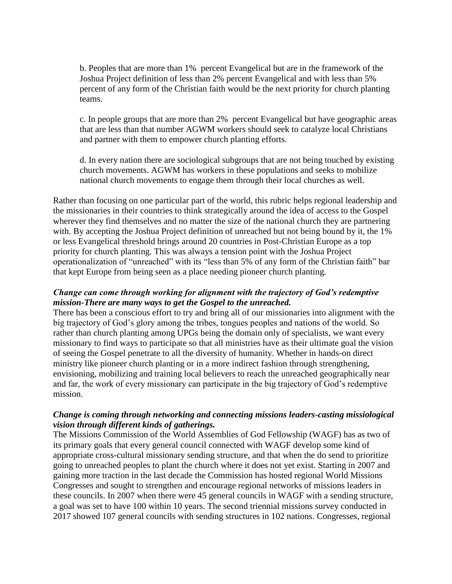b. Peoples that are more than 1% percent Evangelical but are in the framework of the Joshua Project definition of less than 2% percent Evangelical and with less than 5% percent of any form of the Christian faith would be the next priority for church planting teams.

c. In people groups that are more than 2% percent Evangelical but have geographic areas that are less than that number AGWM workers should seek to catalyze local Christians and partner with them to empower church planting efforts.

d. In every nation there are sociological subgroups that are not being touched by existing church movements. AGWM has workers in these populations and seeks to mobilize national church movements to engage them through their local churches as well.

Rather than focusing on one particular part of the world, this rubric helps regional leadership and the missionaries in their countries to think strategically around the idea of access to the Gospel wherever they find themselves and no matter the size of the national church they are partnering with. By accepting the Joshua Project definition of unreached but not being bound by it, the 1% or less Evangelical threshold brings around 20 countries in Post-Christian Europe as a top priority for church planting. This was always a tension point with the Joshua Project operationalization of "unreached" with its "less than 5% of any form of the Christian faith" bar that kept Europe from being seen as a place needing pioneer church planting.

#### *Change can come through working for alignment with the trajectory of God's redemptive mission-There are many ways to get the Gospel to the unreached.*

There has been a conscious effort to try and bring all of our missionaries into alignment with the big trajectory of God's glory among the tribes, tongues peoples and nations of the world. So rather than church planting among UPGs being the domain only of specialists, we want every missionary to find ways to participate so that all ministries have as their ultimate goal the vision of seeing the Gospel penetrate to all the diversity of humanity. Whether in hands-on direct ministry like pioneer church planting or in a more indirect fashion through strengthening, envisioning, mobilizing and training local believers to reach the unreached geographically near and far, the work of every missionary can participate in the big trajectory of God's redemptive mission.

#### *Change is coming through networking and connecting missions leaders-casting missiological vision through different kinds of gatherings.*

The Missions Commission of the World Assemblies of God Fellowship (WAGF) has as two of its primary goals that every general council connected with WAGF develop some kind of appropriate cross-cultural missionary sending structure, and that when the do send to prioritize going to unreached peoples to plant the church where it does not yet exist. Starting in 2007 and gaining more traction in the last decade the Commission has hosted regional World Missions Congresses and sought to strengthen and encourage regional networks of missions leaders in these councils. In 2007 when there were 45 general councils in WAGF with a sending structure, a goal was set to have 100 within 10 years. The second triennial missions survey conducted in 2017 showed 107 general councils with sending structures in 102 nations. Congresses, regional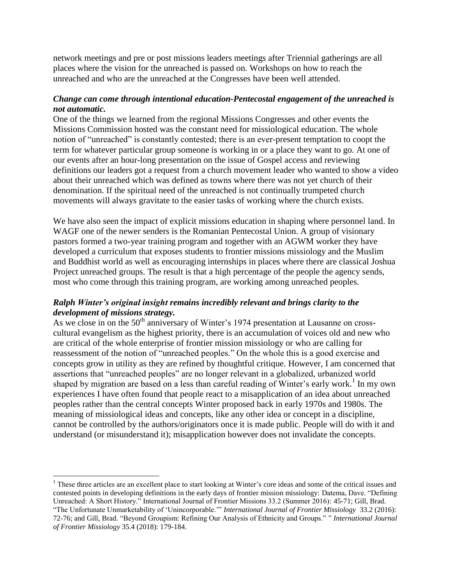network meetings and pre or post missions leaders meetings after Triennial gatherings are all places where the vision for the unreached is passed on. Workshops on how to reach the unreached and who are the unreached at the Congresses have been well attended.

## *Change can come through intentional education-Pentecostal engagement of the unreached is not automatic.*

One of the things we learned from the regional Missions Congresses and other events the Missions Commission hosted was the constant need for missiological education. The whole notion of "unreached" is constantly contested; there is an ever-present temptation to coopt the term for whatever particular group someone is working in or a place they want to go. At one of our events after an hour-long presentation on the issue of Gospel access and reviewing definitions our leaders got a request from a church movement leader who wanted to show a video about their unreached which was defined as towns where there was not yet church of their denomination. If the spiritual need of the unreached is not continually trumpeted church movements will always gravitate to the easier tasks of working where the church exists.

We have also seen the impact of explicit missions education in shaping where personnel land. In WAGF one of the newer senders is the Romanian Pentecostal Union. A group of visionary pastors formed a two-year training program and together with an AGWM worker they have developed a curriculum that exposes students to frontier missions missiology and the Muslim and Buddhist world as well as encouraging internships in places where there are classical Joshua Project unreached groups. The result is that a high percentage of the people the agency sends, most who come through this training program, are working among unreached peoples.

## *Ralph Winter's original insight remains incredibly relevant and brings clarity to the development of missions strategy.*

As we close in on the 50<sup>th</sup> anniversary of Winter's 1974 presentation at Lausanne on crosscultural evangelism as the highest priority, there is an accumulation of voices old and new who are critical of the whole enterprise of frontier mission missiology or who are calling for reassessment of the notion of "unreached peoples." On the whole this is a good exercise and concepts grow in utility as they are refined by thoughtful critique. However, I am concerned that assertions that "unreached peoples" are no longer relevant in a globalized, urbanized world shaped by migration are based on a less than careful reading of Winter's early work.<sup>1</sup> In my own experiences I have often found that people react to a misapplication of an idea about unreached peoples rather than the central concepts Winter proposed back in early 1970s and 1980s. The meaning of missiological ideas and concepts, like any other idea or concept in a discipline, cannot be controlled by the authors/originators once it is made public. People will do with it and understand (or misunderstand it); misapplication however does not invalidate the concepts.

 $\overline{a}$ 

 $<sup>1</sup>$  These three articles are an excellent place to start looking at Winter's core ideas and some of the critical issues and</sup> contested points in developing definitions in the early days of frontier mission missiology: Datema, Dave. "Defining Unreached: A Short History." International Journal of Frontier Missions 33.2 (Summer 2016): 45-71; Gill, Brad. "The Unfortunate Unmarketability of 'Unincorporable.'" *International Journal of Frontier Missiology* 33.2 (2016): 72-76; and Gill, Brad. "Beyond Groupism: Refining Our Analysis of Ethnicity and Groups." " *International Journal of Frontier Missiology* 35.4 (2018): 179-184.